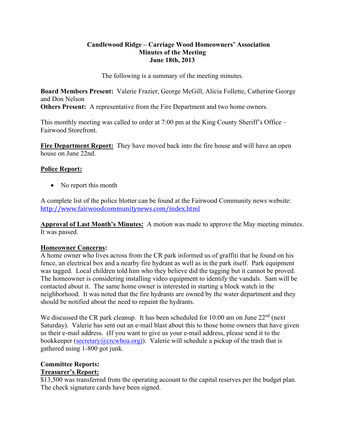## **Candlewood Ridge – Carriage Wood Homeowners' Association Minutes of the Meeting June 18th, 2013**

The following is a summary of the meeting minutes.

**Board Members Present:** Valerie Frazier, George McGill, Alicia Follette, Catherine George and Don Nelson **Others Present:** A representative from the Fire Department and two home owners.

This monthly meeting was called to order at 7:00 pm at the King County Sheriff's Office – Fairwood Storefront.

**Fire Department Report:** They have moved back into the fire house and will have an open house on June 22nd.

## **Police Report:**

• No report this month

A complete list of the police blotter can be found at the Fairwood Community news website: http://www.fairwoodcommunitynews.com/index.html

**Approval of Last Month's Minutes:** A motion was made to approve the May meeting minutes. It was passed.

## **Homeowner Concerns:**

A home owner who lives across from the CR park informed us of graffiti that he found on his fence, an electrical box and a nearby fire hydrant as well as in the park itself. Park equipment was tagged. Local children told him who they believe did the tagging but it cannot be proved. The homeowner is considering installing video equipment to identify the vandals. Sam will be contacted about it. The same home owner is interested in starting a block watch in the neighborhood. It was noted that the fire hydrants are owned by the water department and they should be notified about the need to repaint the hydrants.

We discussed the CR park cleanup. It has been scheduled for  $10:00$  am on June  $22<sup>nd</sup>$  (next Saturday). Valerie has sent out an e-mail blast about this to those home owners that have given us their e-mail address. (If you want to give us your e-mail address, please send it to the bookkeeper (secretary@crcwhoa.org)). Valerie will schedule a pickup of the trash that is gathered using 1-800 got junk.

#### **Committee Reports: Treasurer's Report:**

\$13,500 was transferred from the operating account to the capital reserves per the budget plan. The check signature cards have been signed.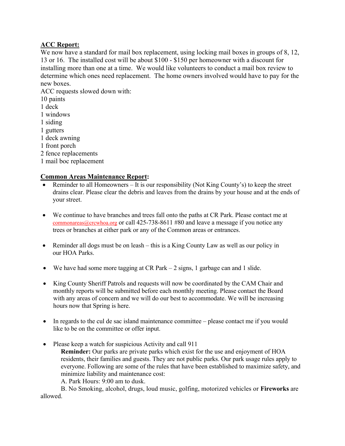## **ACC Report:**

We now have a standard for mail box replacement, using locking mail boxes in groups of 8, 12, 13 or 16. The installed cost will be about \$100 - \$150 per homeowner with a discount for installing more than one at a time. We would like volunteers to conduct a mail box review to determine which ones need replacement. The home owners involved would have to pay for the new boxes.

ACC requests slowed down with: 10 paints 1 deck 1 windows 1 siding 1 gutters 1 deck awning 1 front porch 2 fence replacements

1 mail boc replacement

#### **Common Areas Maintenance Report:**

- Reminder to all Homeowners It is our responsibility (Not King County's) to keep the street drains clear. Please clear the debris and leaves from the drains by your house and at the ends of your street.
- We continue to have branches and trees fall onto the paths at CR Park. Please contact me at commonareas@crcwhoa.org or call 425-738-8611 #80 and leave a message if you notice any trees or branches at either park or any of the Common areas or entrances.
- Reminder all dogs must be on leash this is a King County Law as well as our policy in our HOA Parks.
- We have had some more tagging at CR Park 2 signs, 1 garbage can and 1 slide.
- King County Sheriff Patrols and requests will now be coordinated by the CAM Chair and monthly reports will be submitted before each monthly meeting. Please contact the Board with any areas of concern and we will do our best to accommodate. We will be increasing hours now that Spring is here.
- In regards to the cul de sac island maintenance committee please contact me if you would like to be on the committee or offer input.
- Please keep a watch for suspicious Activity and call 911

**Reminder:** Our parks are private parks which exist for the use and enjoyment of HOA residents, their families and guests. They are not public parks. Our park usage rules apply to everyone. Following are some of the rules that have been established to maximize safety, and minimize liability and maintenance cost:

A. Park Hours: 9:00 am to dusk.

B. No Smoking, alcohol, drugs, loud music, golfing, motorized vehicles or **Fireworks** are allowed.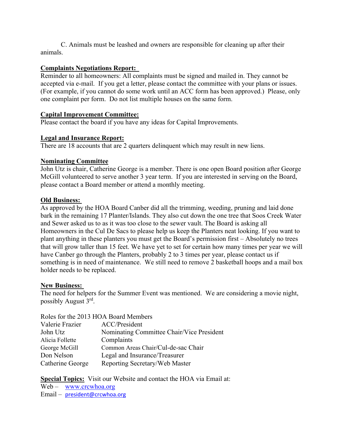C. Animals must be leashed and owners are responsible for cleaning up after their animals.

## **Complaints Negotiations Report:**

Reminder to all homeowners: All complaints must be signed and mailed in. They cannot be accepted via e-mail. If you get a letter, please contact the committee with your plans or issues. (For example, if you cannot do some work until an ACC form has been approved.) Please, only one complaint per form. Do not list multiple houses on the same form.

## **Capital Improvement Committee:**

Please contact the board if you have any ideas for Capital Improvements.

## **Legal and Insurance Report:**

There are 18 accounts that are 2 quarters delinquent which may result in new liens.

## **Nominating Committee**

John Utz is chair, Catherine George is a member. There is one open Board position after George McGill volunteered to serve another 3 year term. If you are interested in serving on the Board, please contact a Board member or attend a monthly meeting.

#### **Old Business:**

As approved by the HOA Board Canber did all the trimming, weeding, pruning and laid done bark in the remaining 17 Planter/Islands. They also cut down the one tree that Soos Creek Water and Sewer asked us to as it was too close to the sewer vault. The Board is asking all Homeowners in the Cul De Sacs to please help us keep the Planters neat looking. If you want to plant anything in these planters you must get the Board's permission first – Absolutely no trees that will grow taller than 15 feet. We have yet to set for certain how many times per year we will have Canber go through the Planters, probably 2 to 3 times per year, please contact us if something is in need of maintenance. We still need to remove 2 basketball hoops and a mail box holder needs to be replaced.

#### **New Business:**

The need for helpers for the Summer Event was mentioned. We are considering a movie night, possibly August 3rd.

#### Roles for the 2013 HOA Board Members

| Valerie Frazier  | ACC/President                             |
|------------------|-------------------------------------------|
| John Utz         | Nominating Committee Chair/Vice President |
| Alicia Follette  | Complaints                                |
| George McGill    | Common Areas Chair/Cul-de-sac Chair       |
| Don Nelson       | Legal and Insurance/Treasurer             |
| Catherine George | Reporting Secretary/Web Master            |

# **Special Topics:** Visit our Website and contact the HOA via Email at:

Web – www.crcwhoa.org

Email – president@crcwhoa.org